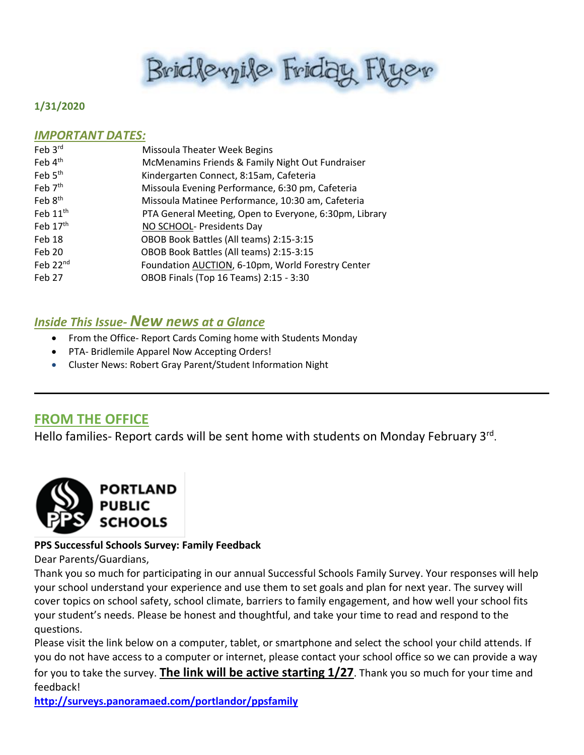Bridlevyile Friday Flyer

#### **1/31/2020**

#### *IMPORTANT DATES:*

| Feb 3rd              | Missoula Theater Week Begins                           |
|----------------------|--------------------------------------------------------|
| Feb 4 <sup>th</sup>  | McMenamins Friends & Family Night Out Fundraiser       |
| Feb 5 <sup>th</sup>  | Kindergarten Connect, 8:15am, Cafeteria                |
| Feb $7th$            | Missoula Evening Performance, 6:30 pm, Cafeteria       |
| Feb 8 <sup>th</sup>  | Missoula Matinee Performance, 10:30 am, Cafeteria      |
| Feb 11 <sup>th</sup> | PTA General Meeting, Open to Everyone, 6:30pm, Library |
| Feb 17th             | NO SCHOOL- Presidents Day                              |
| Feb 18               | OBOB Book Battles (All teams) 2:15-3:15                |
| Feb 20               | OBOB Book Battles (All teams) 2:15-3:15                |
| Feb 22 <sup>nd</sup> | Foundation AUCTION, 6-10pm, World Forestry Center      |
| Feb 27               | OBOB Finals (Top 16 Teams) 2:15 - 3:30                 |
|                      |                                                        |

### *Inside This Issue- New news at a Glance*

- From the Office- Report Cards Coming home with Students Monday
- PTA- Bridlemile Apparel Now Accepting Orders!
- Cluster News: Robert Gray Parent/Student Information Night

# **FROM THE OFFICE**

Hello families- Report cards will be sent home with students on Monday February 3rd.



#### **PPS Successful Schools Survey: Family Feedback**

Dear Parents/Guardians,

Thank you so much for participating in our annual Successful Schools Family Survey. Your responses will help your school understand your experience and use them to set goals and plan for next year. The survey will cover topics on school safety, school climate, barriers to family engagement, and how well your school fits your student's needs. Please be honest and thoughtful, and take your time to read and respond to the questions.

Please visit the link below on a computer, tablet, or smartphone and select the school your child attends. If you do not have access to a computer or internet, please contact your school office so we can provide a way for you to take the survey. **The link will be active starting 1/27**. Thank you so much for your time and feedback!

**<http://surveys.panoramaed.com/portlandor/ppsfamily>**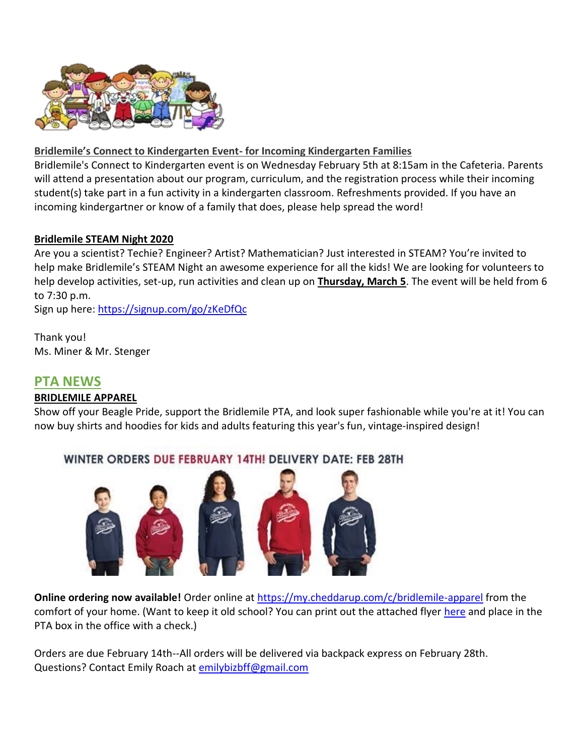

#### **Bridlemile's Connect to Kindergarten Event- for Incoming Kindergarten Families**

Bridlemile's Connect to Kindergarten event is on Wednesday February 5th at 8:15am in the Cafeteria. Parents will attend a presentation about our program, curriculum, and the registration process while their incoming student(s) take part in a fun activity in a kindergarten classroom. Refreshments provided. If you have an incoming kindergartner or know of a family that does, please help spread the word!

#### **Bridlemile STEAM Night 2020**

Are you a scientist? Techie? Engineer? Artist? Mathematician? Just interested in STEAM? You're invited to help make Bridlemile's STEAM Night an awesome experience for all the kids! We are looking for volunteers to help develop activities, set-up, run activities and clean up on **Thursday, March 5**. The event will be held from 6 to 7:30 p.m.

Sign up here:<https://signup.com/go/zKeDfQc>

Thank you! Ms. Miner & Mr. Stenger

## **PTA NEWS**

#### **BRIDLEMILE APPAREL**

Show off your Beagle Pride, support the Bridlemile PTA, and look super fashionable while you're at it! You can now buy shirts and hoodies for kids and adults featuring this year's fun, vintage-inspired design!

# WINTER ORDERS DUE FEBRUARY 14TH! DELIVERY DATE: FEB 28TH



**Online ordering now available!** Order online at <https://my.cheddarup.com/c/bridlemile-apparel> from the comfort of your home. (Want to keep it old school? You can print out the attached flyer [here](file://///ppsfiles.ad.ppsnet/sites/Bridlemile/Bridlemile_Shared_Office/Office/FRIDAY%20FLYER%20DOWNLOADS/2019-20/Bridlemile%20Apparel%20Order%20Form%20winter%202019-2020.pdf) and place in the PTA box in the office with a check.)

Orders are due February 14th--All orders will be delivered via backpack express on February 28th. Questions? Contact Emily Roach at [emilybizbff@gmail.com](mailto:emilybizbff@gmail.com)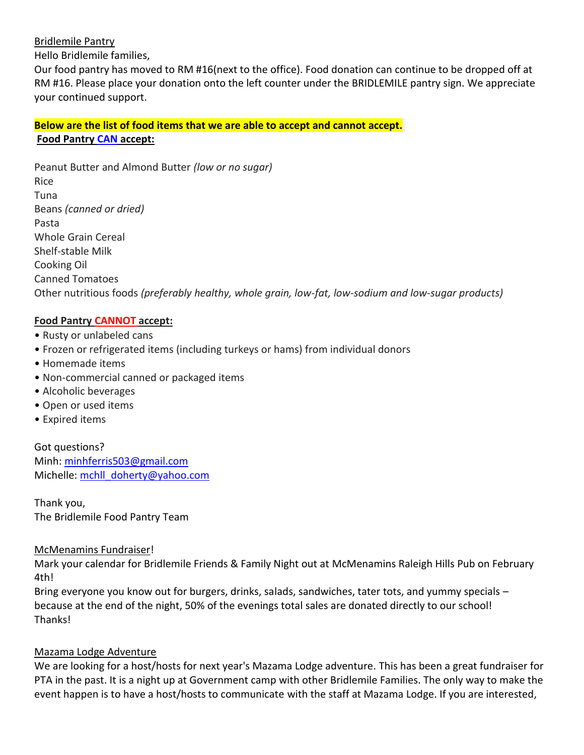#### Bridlemile Pantry

Hello Bridlemile families,

Our food pantry has moved to RM #16(next to the office). Food donation can continue to be dropped off at RM #16. Please place your donation onto the left counter under the BRIDLEMILE pantry sign. We appreciate your continued support.

## **Below are the list of food items that we are able to accept and cannot accept. Food Pantry CAN accept:**

Peanut Butter and Almond Butter *(low or no sugar)* Rice Tuna Beans *(canned or dried)* Pasta Whole Grain Cereal Shelf-stable Milk Cooking Oil Canned Tomatoes Other nutritious foods *(preferably healthy, whole grain, low-fat, low-sodium and low-sugar products)*

#### **Food Pantry CANNOT accept:**

- Rusty or unlabeled cans
- Frozen or refrigerated items (including turkeys or hams) from individual donors
- Homemade items
- Non-commercial canned or packaged items
- Alcoholic beverages
- Open or used items
- Expired items

Got questions? Minh: [minhferris503@gmail.com](mailto:minhferris503@gmail.com) Michelle: [mchll\\_doherty@yahoo.com](mailto:mchll_doherty@yahoo.com)

Thank you, The Bridlemile Food Pantry Team

#### McMenamins Fundraiser!

Mark your calendar for Bridlemile Friends & Family Night out at McMenamins Raleigh Hills Pub on February 4th!

Bring everyone you know out for burgers, drinks, salads, sandwiches, tater tots, and yummy specials because at the end of the night, 50% of the evenings total sales are donated directly to our school! Thanks!

#### Mazama Lodge Adventure

We are looking for a host/hosts for next year's Mazama Lodge adventure. This has been a great fundraiser for PTA in the past. It is a night up at Government camp with other Bridlemile Families. The only way to make the event happen is to have a host/hosts to communicate with the staff at Mazama Lodge. If you are interested,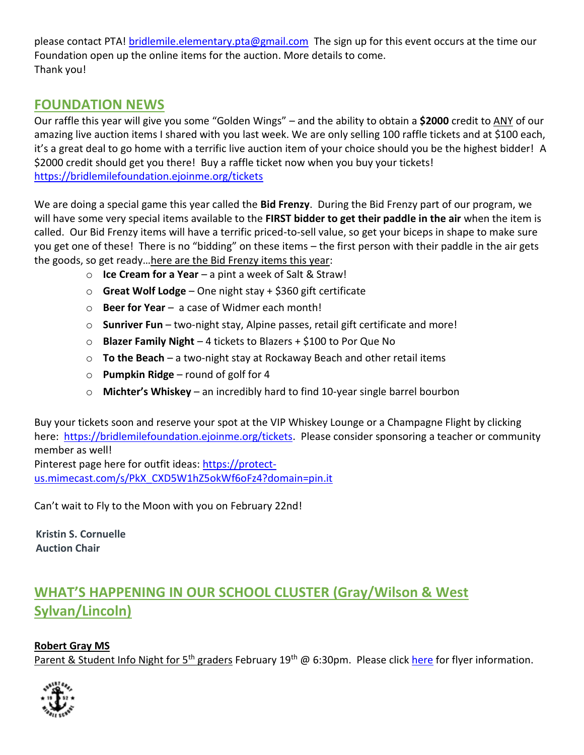please contact PTA! [bridlemile.elementary.pta@gmail.com](mailto:bridlemile.elementary.pta@gmail.com) The sign up for this event occurs at the time our Foundation open up the online items for the auction. More details to come. Thank you!

# **FOUNDATION NEWS**

Our raffle this year will give you some "Golden Wings" – and the ability to obtain a **\$2000** credit to ANY of our amazing live auction items I shared with you last week. We are only selling 100 raffle tickets and at \$100 each, it's a great deal to go home with a terrific live auction item of your choice should you be the highest bidder! A \$2000 credit should get you there! Buy a raffle ticket now when you buy your tickets! <https://bridlemilefoundation.ejoinme.org/tickets>

We are doing a special game this year called the **Bid Frenzy**. During the Bid Frenzy part of our program, we will have some very special items available to the **FIRST bidder to get their paddle in the air** when the item is called. Our Bid Frenzy items will have a terrific priced-to-sell value, so get your biceps in shape to make sure you get one of these! There is no "bidding" on these items – the first person with their paddle in the air gets the goods, so get ready…here are the Bid Frenzy items this year:

- o **Ice Cream for a Year** a pint a week of Salt & Straw!
- o **Great Wolf Lodge** One night stay + \$360 gift certificate
- o **Beer for Year** a case of Widmer each month!
- o **Sunriver Fun** two-night stay, Alpine passes, retail gift certificate and more!
- o **Blazer Family Night** 4 tickets to Blazers + \$100 to Por Que No
- o **To the Beach** a two-night stay at Rockaway Beach and other retail items
- o **Pumpkin Ridge** round of golf for 4
- o **Michter's Whiskey** an incredibly hard to find 10-year single barrel bourbon

Buy your tickets soon and reserve your spot at the VIP Whiskey Lounge or a Champagne Flight by clicking here: [https://bridlemilefoundation.ejoinme.org/tickets.](https://bridlemilefoundation.ejoinme.org/tickets) Please consider sponsoring a teacher or community member as well! Pinterest page here for outfit ideas: [https://protect-](https://pin.it/222xtib7x2vjzc)

[us.mimecast.com/s/PkX\\_CXD5W1hZ5okWf6oFz4?domain=pin.it](https://pin.it/222xtib7x2vjzc)

Can't wait to Fly to the Moon with you on February 22nd!

**[Kristin S. Cornuelle](http://www.orrick.com/Lawyers/Kristin-Cornuelle/Pages/) Auction Chair**

# **WHAT'S HAPPENING IN OUR SCHOOL CLUSTER (Gray/Wilson & West Sylvan/Lincoln)**

## **Robert Gray MS**

Parent & Student Info Night for 5<sup>th</sup> graders February 19<sup>th</sup> @ 6:30pm. Please clic[k here](file://///ppsfiles.ad.ppsnet/sites/Bridlemile/Bridlemile_Shared_Office/Office/FRIDAY%20FLYER%20DOWNLOADS/2019-20/parent%20info%20night%20flyer20-21.pdf) for flyer information.